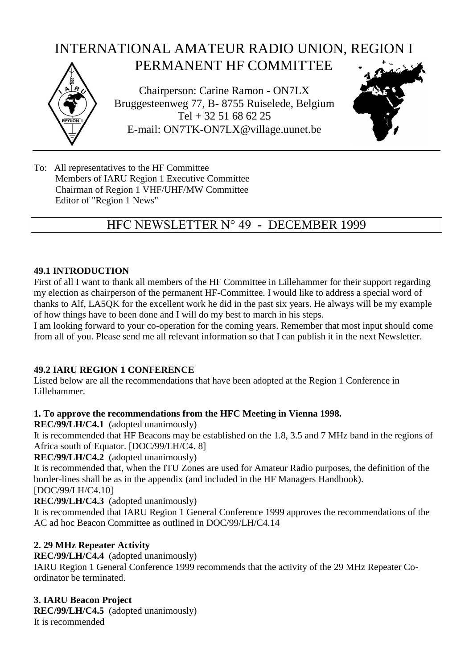# Chairperson: Carine Ramon - ON7LX Bruggesteenweg 77, B- 8755 Ruiselede, Belgium Tel + 32 51 68 62 25 E-mail: ON7TK-ON7LX@village.uunet.be INTERNATIONAL AMATEUR RADIO UNION, REGION I PERMANENT HF COMMITTEE

To: All representatives to the HF Committee Members of IARU Region 1 Executive Committee Chairman of Region 1 VHF/UHF/MW Committee Editor of "Region 1 News"

## HFC NEWSLETTER N° 49 - DECEMBER 1999

#### **49.1 INTRODUCTION**

First of all I want to thank all members of the HF Committee in Lillehammer for their support regarding my election as chairperson of the permanent HF-Committee. I would like to address a special word of thanks to Alf, LA5QK for the excellent work he did in the past six years. He always will be my example of how things have to been done and I will do my best to march in his steps.

I am looking forward to your co-operation for the coming years. Remember that most input should come from all of you. Please send me all relevant information so that I can publish it in the next Newsletter.

#### **49.2 IARU REGION 1 CONFERENCE**

Listed below are all the recommendations that have been adopted at the Region 1 Conference in Lillehammer.

## **1. To approve the recommendations from the HFC Meeting in Vienna 1998.**

**REC/99/LH/C4.1** (adopted unanimously)

It is recommended that HF Beacons may be established on the 1.8, 3.5 and 7 MHz band in the regions of Africa south of Equator. [DOC/99/LH/C4. 8]

#### **REC/99/LH/C4.2** (adopted unanimously)

It is recommended that, when the ITU Zones are used for Amateur Radio purposes, the definition of the border-lines shall be as in the appendix (and included in the HF Managers Handbook).

[DOC/99/LH/C4.10]

**REC/99/LH/C4.3** (adopted unanimously)

It is recommended that IARU Region 1 General Conference 1999 approves the recommendations of the AC ad hoc Beacon Committee as outlined in DOC/99/LH/C4.14

## **2. 29 MHz Repeater Activity**

**REC/99/LH/C4.4** (adopted unanimously)

IARU Region 1 General Conference 1999 recommends that the activity of the 29 MHz Repeater Coordinator be terminated.

## **3. IARU Beacon Project**

**REC/99/LH/C4.5** (adopted unanimously) It is recommended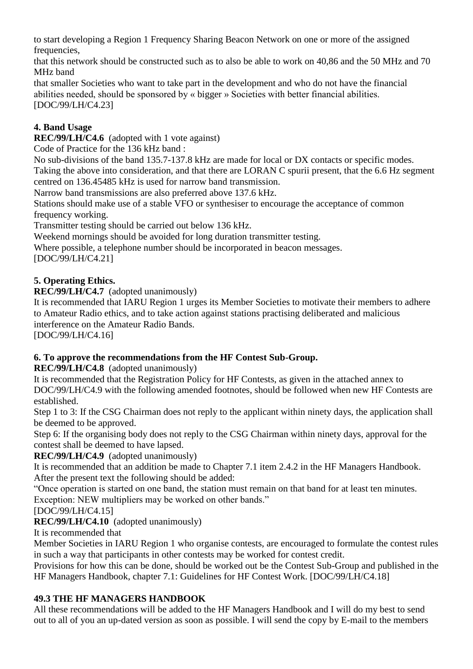to start developing a Region 1 Frequency Sharing Beacon Network on one or more of the assigned frequencies,

that this network should be constructed such as to also be able to work on 40,86 and the 50 MHz and 70 MHz band

that smaller Societies who want to take part in the development and who do not have the financial abilities needed, should be sponsored by « bigger » Societies with better financial abilities. [DOC/99/LH/C4.23]

## **4. Band Usage**

**REC/99/LH/C4.6** (adopted with 1 vote against)

Code of Practice for the 136 kHz band :

No sub-divisions of the band 135.7-137.8 kHz are made for local or DX contacts or specific modes. Taking the above into consideration, and that there are LORAN C spurii present, that the 6.6 Hz segment centred on 136.45485 kHz is used for narrow band transmission.

Narrow band transmissions are also preferred above 137.6 kHz.

Stations should make use of a stable VFO or synthesiser to encourage the acceptance of common frequency working.

Transmitter testing should be carried out below 136 kHz.

Weekend mornings should be avoided for long duration transmitter testing.

Where possible, a telephone number should be incorporated in beacon messages.

[DOC/99/LH/C4.21]

## **5. Operating Ethics.**

## **REC/99/LH/C4.7** (adopted unanimously)

It is recommended that IARU Region 1 urges its Member Societies to motivate their members to adhere to Amateur Radio ethics, and to take action against stations practising deliberated and malicious interference on the Amateur Radio Bands.

[DOC/99/LH/C4.16]

## **6. To approve the recommendations from the HF Contest Sub-Group.**

**REC/99/LH/C4.8** (adopted unanimously)

It is recommended that the Registration Policy for HF Contests, as given in the attached annex to DOC/99/LH/C4.9 with the following amended footnotes, should be followed when new HF Contests are established.

Step 1 to 3: If the CSG Chairman does not reply to the applicant within ninety days, the application shall be deemed to be approved.

Step 6: If the organising body does not reply to the CSG Chairman within ninety days, approval for the contest shall be deemed to have lapsed.

**REC/99/LH/C4.9** (adopted unanimously)

It is recommended that an addition be made to Chapter 7.1 item 2.4.2 in the HF Managers Handbook. After the present text the following should be added:

"Once operation is started on one band, the station must remain on that band for at least ten minutes. Exception: NEW multipliers may be worked on other bands."

[DOC/99/LH/C4.15]

**REC/99/LH/C4.10** (adopted unanimously)

It is recommended that

Member Societies in IARU Region 1 who organise contests, are encouraged to formulate the contest rules in such a way that participants in other contests may be worked for contest credit.

Provisions for how this can be done, should be worked out be the Contest Sub-Group and published in the HF Managers Handbook, chapter 7.1: Guidelines for HF Contest Work. [DOC/99/LH/C4.18]

## **49.3 THE HF MANAGERS HANDBOOK**

All these recommendations will be added to the HF Managers Handbook and I will do my best to send out to all of you an up-dated version as soon as possible. I will send the copy by E-mail to the members